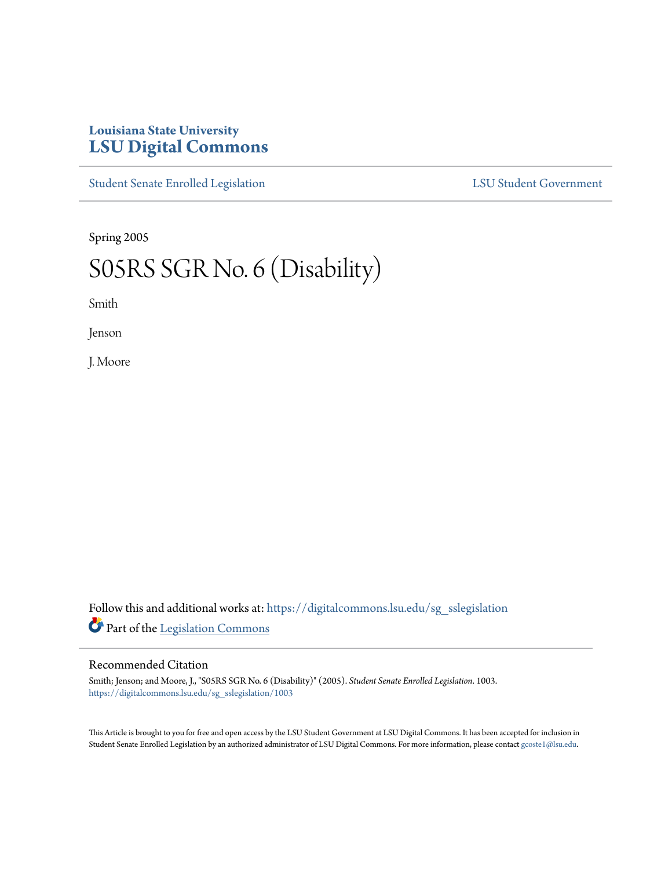## **Louisiana State University [LSU Digital Commons](https://digitalcommons.lsu.edu?utm_source=digitalcommons.lsu.edu%2Fsg_sslegislation%2F1003&utm_medium=PDF&utm_campaign=PDFCoverPages)**

[Student Senate Enrolled Legislation](https://digitalcommons.lsu.edu/sg_sslegislation?utm_source=digitalcommons.lsu.edu%2Fsg_sslegislation%2F1003&utm_medium=PDF&utm_campaign=PDFCoverPages) [LSU Student Government](https://digitalcommons.lsu.edu/sg?utm_source=digitalcommons.lsu.edu%2Fsg_sslegislation%2F1003&utm_medium=PDF&utm_campaign=PDFCoverPages)

Spring 2005

## S05RS SGR No. 6 (Disability)

Smith

Jenson

J. Moore

Follow this and additional works at: [https://digitalcommons.lsu.edu/sg\\_sslegislation](https://digitalcommons.lsu.edu/sg_sslegislation?utm_source=digitalcommons.lsu.edu%2Fsg_sslegislation%2F1003&utm_medium=PDF&utm_campaign=PDFCoverPages) Part of the [Legislation Commons](http://network.bepress.com/hgg/discipline/859?utm_source=digitalcommons.lsu.edu%2Fsg_sslegislation%2F1003&utm_medium=PDF&utm_campaign=PDFCoverPages)

## Recommended Citation

Smith; Jenson; and Moore, J., "S05RS SGR No. 6 (Disability)" (2005). *Student Senate Enrolled Legislation*. 1003. [https://digitalcommons.lsu.edu/sg\\_sslegislation/1003](https://digitalcommons.lsu.edu/sg_sslegislation/1003?utm_source=digitalcommons.lsu.edu%2Fsg_sslegislation%2F1003&utm_medium=PDF&utm_campaign=PDFCoverPages)

This Article is brought to you for free and open access by the LSU Student Government at LSU Digital Commons. It has been accepted for inclusion in Student Senate Enrolled Legislation by an authorized administrator of LSU Digital Commons. For more information, please contact [gcoste1@lsu.edu.](mailto:gcoste1@lsu.edu)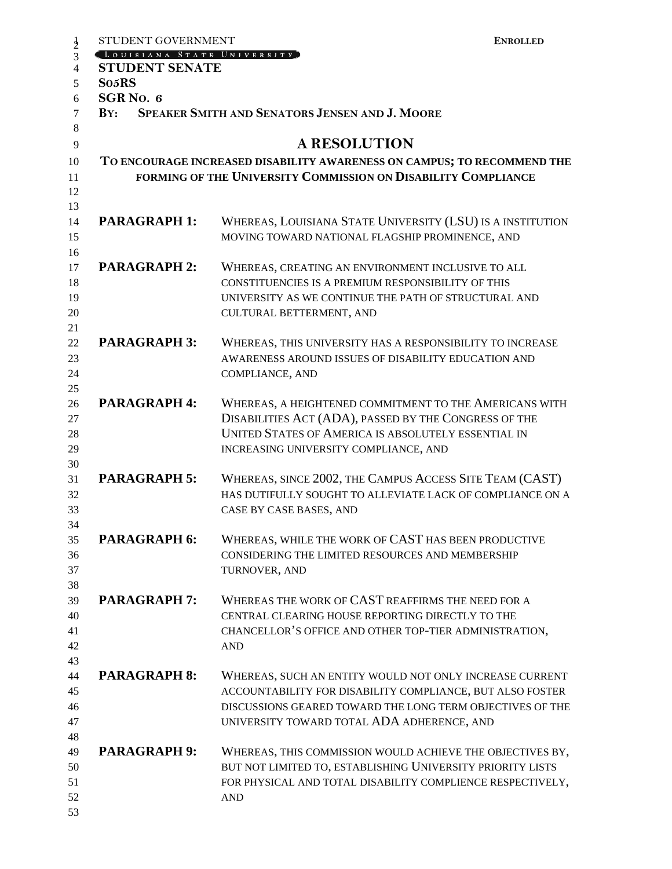| STUDENT GOVERNMENT                        | <b>ENROLLED</b>                                                         |
|-------------------------------------------|-------------------------------------------------------------------------|
| LOUISIANA STATE UNIVERSITY                |                                                                         |
| <b>STUDENT SENATE</b>                     |                                                                         |
| So <sub>5</sub> RS<br>SGR <sub>NO.6</sub> |                                                                         |
| $\mathbf{B} \mathbf{Y}$ :                 | SPEAKER SMITH AND SENATORS JENSEN AND J. MOORE                          |
|                                           |                                                                         |
|                                           | <b>A RESOLUTION</b>                                                     |
|                                           | TO ENCOURAGE INCREASED DISABILITY AWARENESS ON CAMPUS; TO RECOMMEND THE |
|                                           | FORMING OF THE UNIVERSITY COMMISSION ON DISABILITY COMPLIANCE           |
|                                           |                                                                         |
|                                           |                                                                         |
| <b>PARAGRAPH 1:</b>                       | WHEREAS, LOUISIANA STATE UNIVERSITY (LSU) IS A INSTITUTION              |
|                                           | MOVING TOWARD NATIONAL FLAGSHIP PROMINENCE, AND                         |
| <b>PARAGRAPH 2:</b>                       | WHEREAS, CREATING AN ENVIRONMENT INCLUSIVE TO ALL                       |
|                                           | CONSTITUENCIES IS A PREMIUM RESPONSIBILITY OF THIS                      |
|                                           | UNIVERSITY AS WE CONTINUE THE PATH OF STRUCTURAL AND                    |
|                                           | CULTURAL BETTERMENT, AND                                                |
|                                           |                                                                         |
| <b>PARAGRAPH 3:</b>                       | WHEREAS, THIS UNIVERSITY HAS A RESPONSIBILITY TO INCREASE               |
|                                           | AWARENESS AROUND ISSUES OF DISABILITY EDUCATION AND                     |
|                                           | COMPLIANCE, AND                                                         |
|                                           |                                                                         |
| <b>PARAGRAPH 4:</b>                       | WHEREAS, A HEIGHTENED COMMITMENT TO THE AMERICANS WITH                  |
|                                           | DISABILITIES ACT (ADA), PASSED BY THE CONGRESS OF THE                   |
|                                           | UNITED STATES OF AMERICA IS ABSOLUTELY ESSENTIAL IN                     |
|                                           | INCREASING UNIVERSITY COMPLIANCE, AND                                   |
|                                           |                                                                         |
| <b>PARAGRAPH 5:</b>                       | WHEREAS, SINCE 2002, THE CAMPUS ACCESS SITE TEAM (CAST)                 |
|                                           | HAS DUTIFULLY SOUGHT TO ALLEVIATE LACK OF COMPLIANCE ON A               |
|                                           | CASE BY CASE BASES, AND                                                 |
| <b>PARAGRAPH 6:</b>                       | WHEREAS, WHILE THE WORK OF CAST HAS BEEN PRODUCTIVE                     |
|                                           | CONSIDERING THE LIMITED RESOURCES AND MEMBERSHIP                        |
|                                           | TURNOVER, AND                                                           |
|                                           |                                                                         |
| <b>PARAGRAPH 7:</b>                       | WHEREAS THE WORK OF CAST REAFFIRMS THE NEED FOR A                       |
|                                           | CENTRAL CLEARING HOUSE REPORTING DIRECTLY TO THE                        |
|                                           | CHANCELLOR'S OFFICE AND OTHER TOP-TIER ADMINISTRATION,                  |
|                                           | <b>AND</b>                                                              |
|                                           |                                                                         |
| <b>PARAGRAPH 8:</b>                       | WHEREAS, SUCH AN ENTITY WOULD NOT ONLY INCREASE CURRENT                 |
|                                           | ACCOUNTABILITY FOR DISABILITY COMPLIANCE, BUT ALSO FOSTER               |
|                                           | DISCUSSIONS GEARED TOWARD THE LONG TERM OBJECTIVES OF THE               |
|                                           | UNIVERSITY TOWARD TOTAL ADA ADHERENCE, AND                              |
|                                           |                                                                         |
| <b>PARAGRAPH 9:</b>                       | WHEREAS, THIS COMMISSION WOULD ACHIEVE THE OBJECTIVES BY,               |
|                                           | BUT NOT LIMITED TO, ESTABLISHING UNIVERSITY PRIORITY LISTS              |
|                                           | FOR PHYSICAL AND TOTAL DISABILITY COMPLIENCE RESPECTIVELY,              |
|                                           | <b>AND</b>                                                              |
|                                           |                                                                         |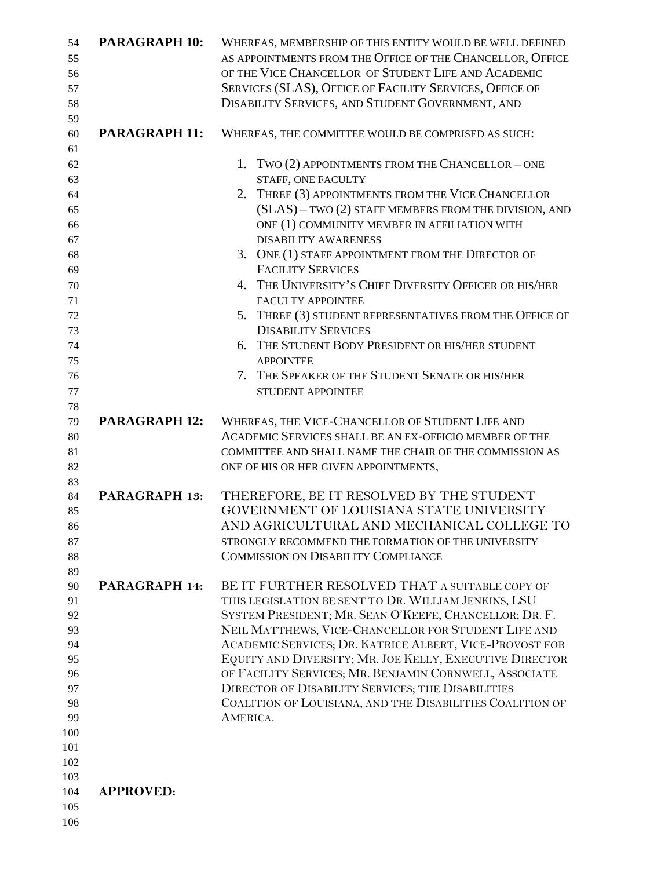| 54  | <b>PARAGRAPH 10:</b> | WHEREAS, MEMBERSHIP OF THIS ENTITY WOULD BE WELL DEFINED  |
|-----|----------------------|-----------------------------------------------------------|
| 55  |                      | AS APPOINTMENTS FROM THE OFFICE OF THE CHANCELLOR, OFFICE |
| 56  |                      | OF THE VICE CHANCELLOR OF STUDENT LIFE AND ACADEMIC       |
| 57  |                      | SERVICES (SLAS), OFFICE OF FACILITY SERVICES, OFFICE OF   |
| 58  |                      | DISABILITY SERVICES, AND STUDENT GOVERNMENT, AND          |
| 59  |                      |                                                           |
| 60  | <b>PARAGRAPH 11:</b> | WHEREAS, THE COMMITTEE WOULD BE COMPRISED AS SUCH:        |
| 61  |                      |                                                           |
| 62  |                      | 1. TWO (2) APPOINTMENTS FROM THE CHANCELLOR - ONE         |
| 63  |                      | STAFF, ONE FACULTY                                        |
| 64  |                      | 2. THREE (3) APPOINTMENTS FROM THE VICE CHANCELLOR        |
| 65  |                      | (SLAS) - TWO (2) STAFF MEMBERS FROM THE DIVISION, AND     |
| 66  |                      | ONE (1) COMMUNITY MEMBER IN AFFILIATION WITH              |
| 67  |                      | <b>DISABILITY AWARENESS</b>                               |
| 68  |                      | 3. ONE (1) STAFF APPOINTMENT FROM THE DIRECTOR OF         |
| 69  |                      | <b>FACILITY SERVICES</b>                                  |
| 70  |                      | 4. THE UNIVERSITY'S CHIEF DIVERSITY OFFICER OR HIS/HER    |
| 71  |                      | <b>FACULTY APPOINTEE</b>                                  |
| 72  |                      | 5. THREE (3) STUDENT REPRESENTATIVES FROM THE OFFICE OF   |
| 73  |                      | <b>DISABILITY SERVICES</b>                                |
| 74  |                      | 6. THE STUDENT BODY PRESIDENT OR HIS/HER STUDENT          |
| 75  |                      | <b>APPOINTEE</b>                                          |
| 76  |                      | THE SPEAKER OF THE STUDENT SENATE OR HIS/HER<br>7.        |
| 77  |                      | STUDENT APPOINTEE                                         |
| 78  |                      |                                                           |
| 79  | <b>PARAGRAPH 12:</b> | WHEREAS, THE VICE-CHANCELLOR OF STUDENT LIFE AND          |
| 80  |                      | ACADEMIC SERVICES SHALL BE AN EX-OFFICIO MEMBER OF THE    |
| 81  |                      | COMMITTEE AND SHALL NAME THE CHAIR OF THE COMMISSION AS   |
| 82  |                      | ONE OF HIS OR HER GIVEN APPOINTMENTS,                     |
| 83  |                      |                                                           |
| 84  | PARAGRAPH 13:        | THEREFORE, BE IT RESOLVED BY THE STUDENT                  |
| 85  |                      | GOVERNMENT OF LOUISIANA STATE UNIVERSITY                  |
| 86  |                      | AND AGRICULTURAL AND MECHANICAL COLLEGE TO                |
| 87  |                      | STRONGLY RECOMMEND THE FORMATION OF THE UNIVERSITY        |
| 88  |                      | <b>COMMISSION ON DISABILITY COMPLIANCE</b>                |
| 89  |                      |                                                           |
| 90  | PARAGRAPH 14:        | BE IT FURTHER RESOLVED THAT A SUITABLE COPY OF            |
| 91  |                      | THIS LEGISLATION BE SENT TO DR. WILLIAM JENKINS, LSU      |
| 92  |                      | SYSTEM PRESIDENT; MR. SEAN O'KEEFE, CHANCELLOR; DR. F.    |
| 93  |                      | NEIL MATTHEWS, VICE-CHANCELLOR FOR STUDENT LIFE AND       |
| 94  |                      | ACADEMIC SERVICES; DR. KATRICE ALBERT, VICE-PROVOST FOR   |
| 95  |                      | EQUITY AND DIVERSITY; MR. JOE KELLY, EXECUTIVE DIRECTOR   |
| 96  |                      | OF FACILITY SERVICES; MR. BENJAMIN CORNWELL, ASSOCIATE    |
| 97  |                      | DIRECTOR OF DISABILITY SERVICES; THE DISABILITIES         |
| 98  |                      | COALITION OF LOUISIANA, AND THE DISABILITIES COALITION OF |
| 99  |                      | AMERICA.                                                  |
| 100 |                      |                                                           |
| 101 |                      |                                                           |
| 102 |                      |                                                           |
| 103 |                      |                                                           |
| 104 | <b>APPROVED:</b>     |                                                           |
| 105 |                      |                                                           |
| 106 |                      |                                                           |